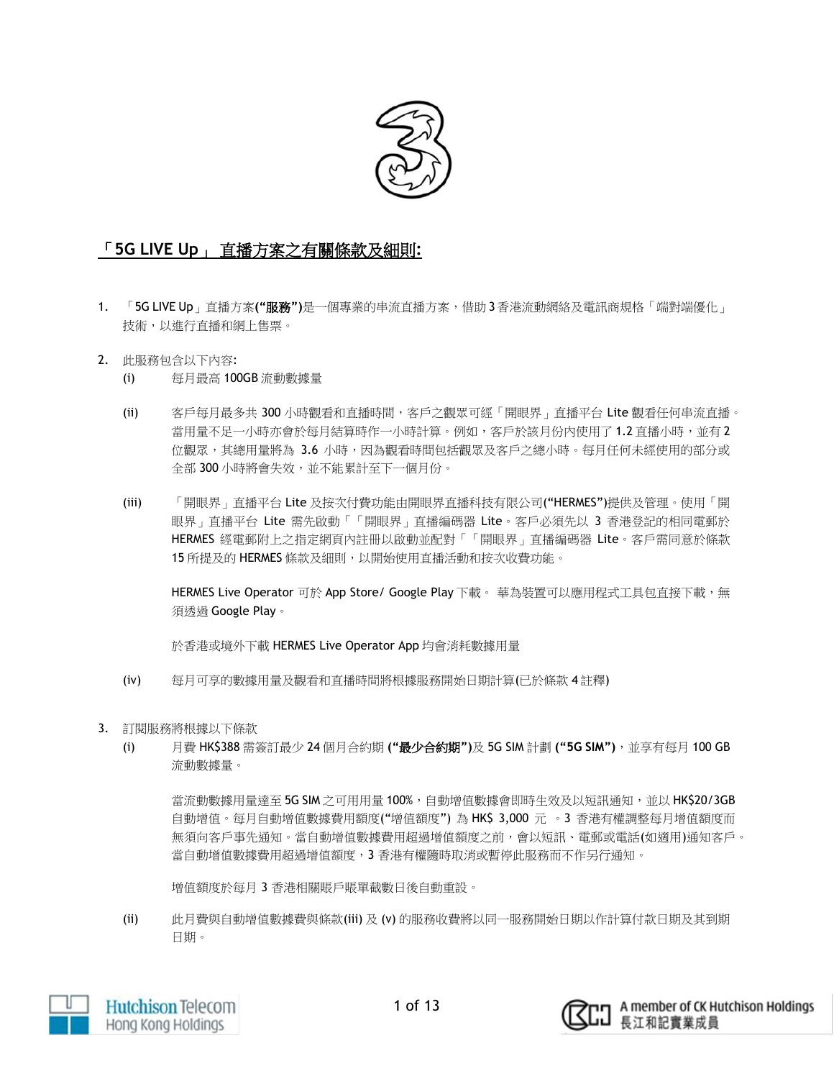

# 「**5G LIVE Up**」 直播方案之有關條款及細則**:**

- 1. 「5G LIVE Up」直播方案**("**服務**")**是一個專業的串流直播方案,借助 3香港流動網絡及電訊商規格「端對端優化」 技術,以進行直播和網上售票。
- 2. 此服務包含以下內容:
	- (i) 每月最高 100GB 流動數據量
	- (ii) 客戶每月最多共 300 小時觀看和直播時間,客戶之觀眾可經「開眼界」直播平台 Lite 觀看任何串流直播。 當用量不足一小時亦會於每月結算時作一小時計算。例如,客戶於該月份內使用了1.2 直播小時,並有2 位觀眾,其總用量將為 3.6 小時,因為觀看時間包括觀眾及客戶之總小時。每月任何未經使用的部分或 全部 300 小時將會失效,並不能累計至下一個月份。
	- (iii) 「開眼界」直播平台 Lite 及按次付費功能由開眼界直播科技有限公司("HERMES")提供及管理。使用「開 眼界」直播平台 Lite 需先啟動「「開眼界」直播編碼器 Lite。客戶必須先以 3 香港登記的相同電郵於 HERMES 經電郵附上之指定網頁內註冊以啟動並配對「「開眼界」直播編碼器 Lite。客戶需同意於條款 15 所提及的 HERMES 條款及細則,以開始使用直播活動和按次收費功能。

HERMES Live Operator 可於 App Store/ Google Play 下載。 華為裝置可以應用程式工具包直接下載,無 須透過 Google Play。

於香港或境外下載 HERMES Live Operator App 均會消耗數據用量

- (iv) 每月可享的數據用量及觀看和直播時間將根據服務開始日期計算(已於條款 4 註釋)
- 3. 訂閱服務將根據以下條款
	- (i) 月費 HK\$388 需簽訂最少 24 個月合約期 **("**最少合約期**")**及 5G SIM 計劃 **("5G SIM")**,並享有每月 100 GB 流動數據量。

當流動數據用量達至 5G SIM 之可用用量 100%,自動增值數據會即時生效及以短訊通知,並以 HK\$20/3GB 自動增值。每月自動增值數據費用額度("增值額度") 為 HK\$ 3,000 元 。3 香港有權調整每月增值額度而 無須向客戶事先通知。當自動增值數據費用超過增值額度之前,會以短訊、電郵或電話(如適用)通知客戶。 當自動增值數據費用超過增值額度,3 香港有權隨時取消或暫停此服務而不作另行通知。

增值額度於每月 3 香港相關賬戶賬單截數日後自動重設。

(ii) 此月費與自動增值數據費與條款(iii) 及 (v) 的服務收費將以同一服務開始日期以作計算付款日期及其到期 日期。



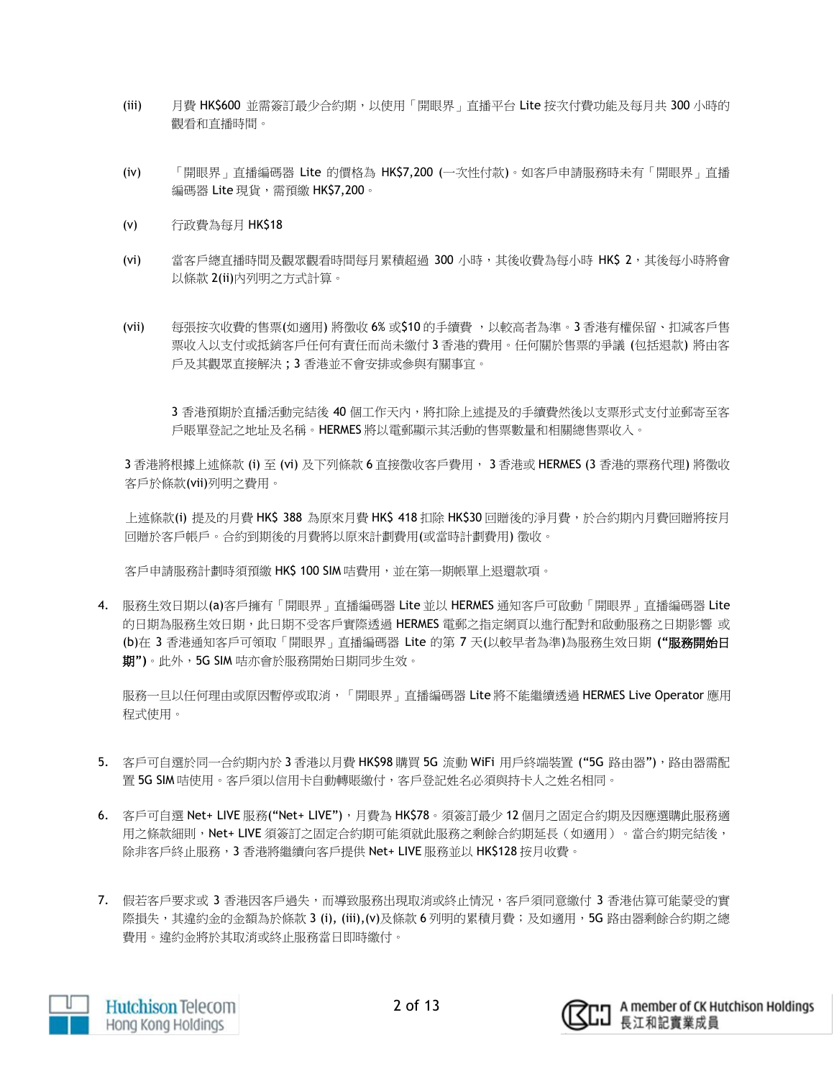- (iii) 月費 HK\$600 並需簽訂最少合約期,以使用「開眼界」直播平台 Lite 按次付費功能及每月共 300 小時的 觀看和直播時間。
- (iv) 「開眼界」直播編碼器 Lite 的價格為 HK\$7,200 (一次性付款)。如客戶申請服務時未有「開眼界」直播 編碼器 Lite 現貨, 需預繳 HK\$7,200。
- (v) 行政費為每月 HK\$18
- (vi) 當客戶總直播時間及觀眾觀看時間每月累積超過 300 小時,其後收費為每小時 HK\$ 2,其後每小時將會 以條款 2(ii)內列明之方式計算。
- (vii) 每張按次收費的售票(如適用) 將徵收 6% 或\$10 的手續費 ,以較高者為準。3 香港有權保留、扣減客戶售 票收入以支付或抵銷客戶任何有責任而尚未繳付 3 香港的費用。任何關於售票的爭議 (包括退款) 將由客 戶及其觀眾直接解決 ; 3 香港並不會安排或參與有關事宜。

3 香港預期於直播活動完結後 40 個工作天內,將扣除上述提及的手續費然後以支票形式支付並郵寄至客 戶賬單登記之地址及名稱。HERMES 將以電郵顯示其活動的售票數量和相關總售票收入。

3 香港將根據上述條款 (i) 至 (vi) 及下列條款 6 直接徵收客戶費用, 3 香港或 HERMES (3 香港的票務代理) 將徵收 客戶於條款(vii)列明之費用。

上述條款(i) 提及的月費 HK\$ 388 為原來月費 HK\$ 418 扣除 HK\$30 回贈後的淨月費,於合約期內月費回贈將按月 回贈於客戶帳戶。合約到期後的月費將以原來計劃費用(或當時計劃費用) 徵收。

客戶申請服務計劃時須預繳 HK\$ 100 SIM 咭費用,並在第一期帳單上退還款項。

4. 服務生效日期以(a)客戶擁有「開眼界」直播編碼器 Lite 並以 HERMES 通知客戶可啟動「開眼界」直播編碼器 Lite 的日期為服務生效日期,此日期不受客戶實際透過 HERMES 電郵之指定網頁以進行配對和啟動服務之日期影響 或 (b)在 3 香港通知客戶可領取「開眼界」直播編碼器 Lite 的第 7 天(以較早者為準)為服務生效日期 **("**服務開始日 期**")**。此外,5G SIM 咭亦會於服務開始日期同步生效。

服務一旦以任何理由或原因暫停或取消,「開眼界」直播編碼器 Lite 將不能繼續透過 HERMES Live Operator 應用 程式使用。

- 5. 客戶可自選於同一合約期內於 3 香港以月費 HK\$98 購買 5G 流動 WiFi 用戶終端裝置 ("5G 路由器"), 路由器需配 置 5G SIM 咭使用。客戶須以信用卡自動轉賬繳付,客戶登記姓名必須與持卡人之姓名相同。
- 6. 客戶可自選 Net+ LIVE 服務("Net+ LIVE"), 月費為 HK\$78。須簽訂最少 12 個月之固定合約期及因應選購此服務適 用之條款細則,Net+ LIVE 須簽訂之固定合約期可能須就此服務之剩餘合約期延長(如適用)。當合約期完結後, 除非客戶終止服務,3 香港將繼續向客戶提供 Net+ LIVE 服務並以 HK\$128 按月收費。
- 7. 假若客戶要求或 3 香港因客戶過失,而導致服務出現取消或終止情況,客戶須同意繳付 3 香港估算可能蒙受的實 際損失,其違約金的金額為於條款 3 (i), (iii),(v)及條款 6 列明的累積月費;及如適用,5G 路由器剩餘合約期之總 費用。違約金將於其取消或終止服務當日即時繳付。



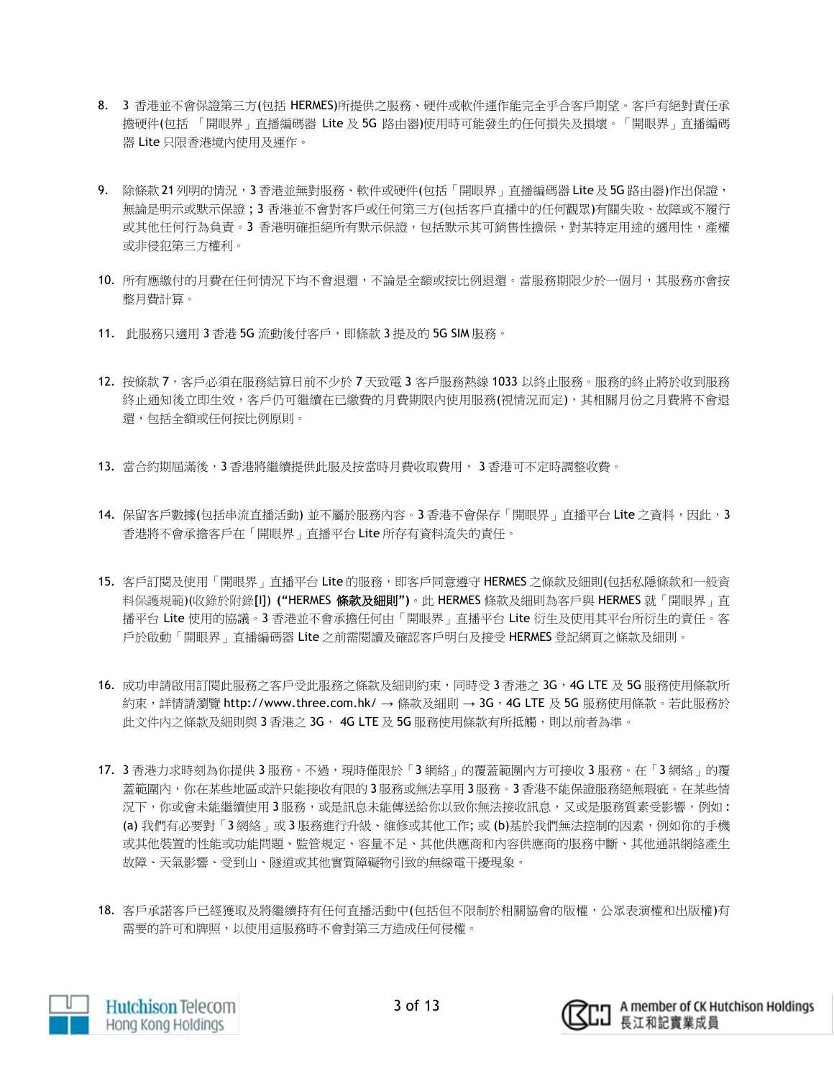- 8. 3 香港並不會保證第三方(包括 HERMES)所提供之服務、硬件或軟件運作能完全乎合客戶期望。客戶有絕對責任承 擔硬件(包括 「開眼界」直播編碼器 Lite 及 5G 路由器)使用時可能發生的任何損失及損壞。「開眼界」直播編碼 器 Lite 只限香港境內使用及運作。
- 9. 除條款 21列明的情況,3 香港並無對服務、軟件或硬件(包括「開眼界」直播編碼器 Lite 及 5G 路由器)作出保證, 無論是明示或默示保證 ; 3 香港並不會對客戶或任何第三方(包括客戶直播中的任何觀眾)有關失敗、故障或不履行 或其他任何行為負責。3 香港明確拒絕所有默示保證,包括默示其可銷售性擔保,對某特定用途的適用性,產權 或非侵犯第三方權利。
- 10. 所有應繳付的月費在任何情況下均不會退還,不論是全額或按比例退還。當服務期限少於一個月,其服務亦會按 整月費計算。
- 11. 此服務只適用 3 香港 5G 流動後付客戶,即條款 3 提及的 5G SIM 服務。
- 12. 按條款 7,客戶必須在服務結算日前不少於 7 天致電 3 客戶服務熱線 1033 以終止服務。服務的終止將於收到服務 終止通知後立即生效,客戶仍可繼續在已繳費的月費期限內使用服務(視情況而定),其相關月份之月費將不會退 還,包括全額或任何按比例原則。
- 13. 當合約期屆滿後,3 香港將繼續提供此服及按當時月費收取費用, 3 香港可不定時調整收費。
- 14. 保留客戶數據(包括串流直播活動) 並不屬於服務內容。3 香港不會保存「開眼界」直播平台 Lite 之資料,因此,3 香港將不會承擔客戶在「開眼界」直播平台 Lite 所存有資料流失的責任。
- 15. 客戶訂閱及使用「開眼界」直播平台 Lite 的服務,即客戶同意遵守 HERMES 之條款及細則(包括私隱條款和一般資 料保護規範)(收錄於附錄[I]) **("**HERMES 條款及細則**")**。此 HERMES 條款及細則為客戶與 HERMES 就「開眼界」直 播平台 Lite 使用的協議。3 香港並不會承擔任何由「開眼界」直播平台 Lite 衍生及使用其平台所衍生的責任。客 戶於啟動「開眼界」直播編碼器 Lite 之前需閱讀及確認客戶明白及接受 HERMES 登記網頁之條款及細則。
- 16. 成功申請啟用訂閱此服務之客戶受此服務之條款及細則約束,同時受 3 香港之 3G,4G LTE 及 5G 服務使用條款所 約束,詳情請瀏覽 http://www.three.com.hk/ → 條款及細則 → 3G,4G LTE 及 5G 服務使用條款。若此服務於 此文件內之條款及細則與 3 香港之 3G, 4G LTE 及 5G 服務使用條款有所抵觸,則以前者為準。
- 17. 3 香港力求時刻為你提供 3 服務。不過,現時僅限於「3 網絡」的覆蓋範圍內方可接收 3 服務。在「3 網絡」的覆 蓋範圍內,你在某些地區或許只能接收有限的 3 服務或無法享用 3 服務。3 香港不能保證服務絕無瑕疵。在某些情 況下,你或會未能繼續使用3服務,或是訊息未能傳送給你以致你無法接收訊息,又或是服務質素受影響,例如: (a) 我們有必要對「3 網絡」或 3 服務進行升級、維修或其他工作; 或 (b)基於我們無法控制的因素,例如你的手機 或其他裝置的性能或功能問題、監管規定、容量不足、其他供應商和內容供應商的服務中斷、其他通訊網絡產生 故障、天氣影響、受到山、隧道或其他實質障礙物引致的無線電干擾現象。
- 18. 客戶承諾客戶已經獲取及將繼續持有任何直播活動中(包括但不限制於相關協會的版權,公眾表演權和出版權)有 需要的許可和牌照,以使用這服務時不會對第三方造成任何侵權。



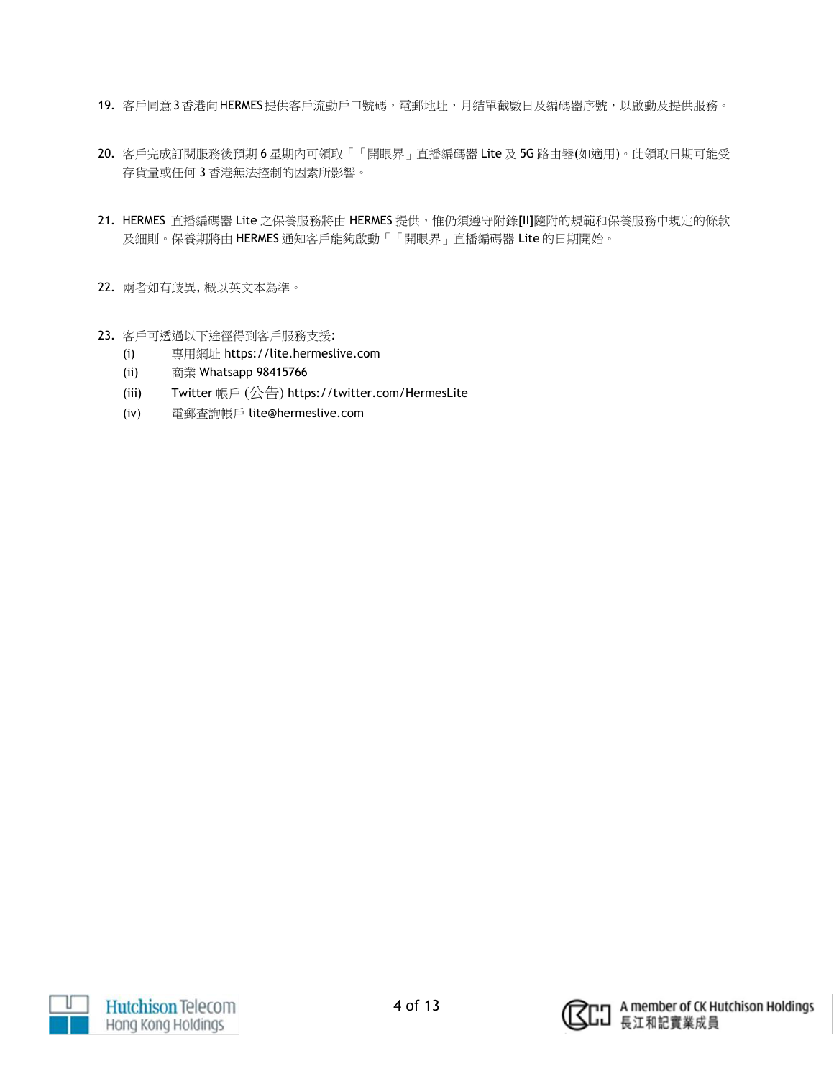- 19. 客戶同意3香港向HERMES提供客戶流動戶口號碼,電郵地址,月結單截數日及編碼器序號,以啟動及提供服務。
- 20. 客戶完成訂閱服務後預期 6 星期內可領取「「開眼界」直播編碼器 Lite 及 5G 路由器(如適用)。此領取日期可能受 存貨量或任何 3 香港無法控制的因素所影響。
- 21. HERMES 直播編碼器 Lite 之保養服務將由 HERMES 提供,惟仍須遵守附錄[II]隨附的規範和保養服務中規定的條款 及細則。保養期將由 HERMES 通知客戶能夠啟動「「開眼界」直播編碼器 Lite 的日期開始。
- 22. 兩者如有歧異, 概以英文本為準。
- 23. 客戶可透過以下途徑得到客戶服務支援:
	- (i) 專用網址 https://lite.hermeslive.com
	- (ii) 商業 Whatsapp 98415766
	- (iii) Twitter 帳戶 (公告) https://twitter.com/HermesLite
	- (iv) 電郵查詢帳戶 lite@hermeslive.com



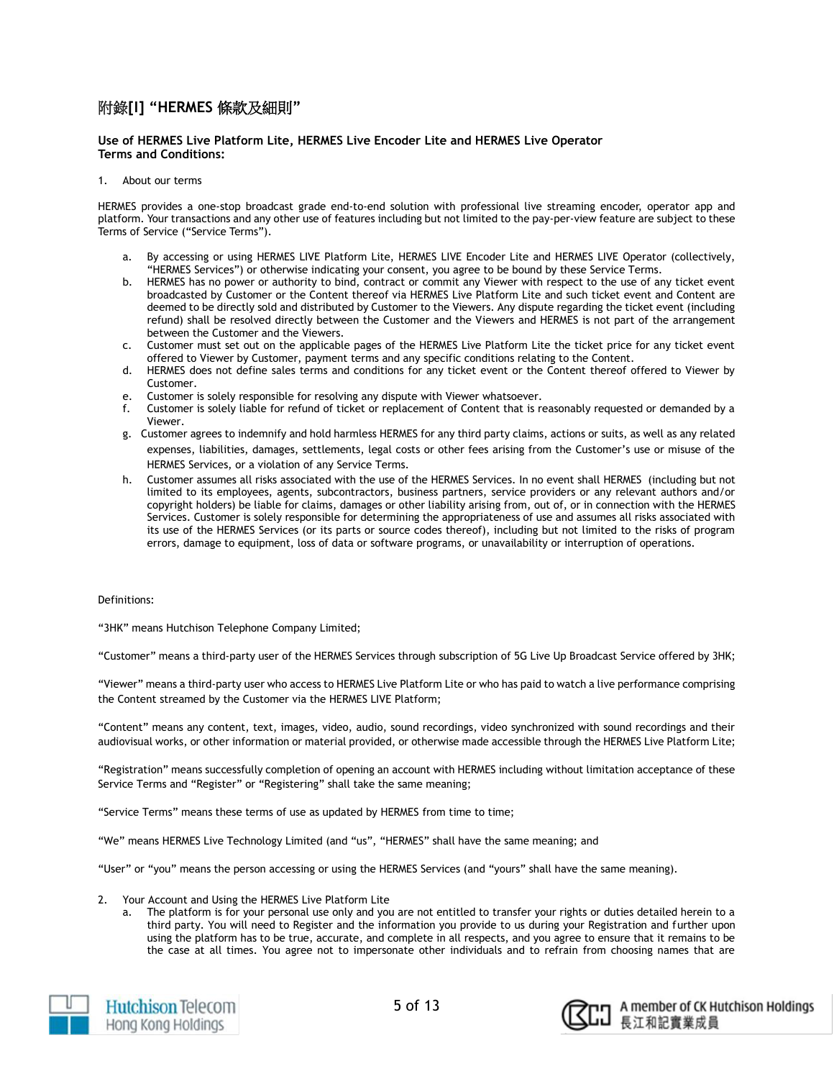# 附錄**[I] "HERMES** 條款及細則**"**

# **Use of HERMES Live Platform Lite, HERMES Live Encoder Lite and HERMES Live Operator Terms and Conditions:**

# 1. About our terms

HERMES provides a one-stop broadcast grade end-to-end solution with professional live streaming encoder, operator app and platform. Your transactions and any other use of features including but not limited to the pay-per-view feature are subject to these Terms of Service ("Service Terms").

- a. By accessing or using HERMES LIVE Platform Lite, HERMES LIVE Encoder Lite and HERMES LIVE Operator (collectively, "HERMES Services") or otherwise indicating your consent, you agree to be bound by these Service Terms.
- b. HERMES has no power or authority to bind, contract or commit any Viewer with respect to the use of any ticket event broadcasted by Customer or the Content thereof via HERMES Live Platform Lite and such ticket event and Content are deemed to be directly sold and distributed by Customer to the Viewers. Any dispute regarding the ticket event (including refund) shall be resolved directly between the Customer and the Viewers and HERMES is not part of the arrangement between the Customer and the Viewers.
- c. Customer must set out on the applicable pages of the HERMES Live Platform Lite the ticket price for any ticket event offered to Viewer by Customer, payment terms and any specific conditions relating to the Content.
- d. HERMES does not define sales terms and conditions for any ticket event or the Content thereof offered to Viewer by Customer.
- e. Customer is solely responsible for resolving any dispute with Viewer whatsoever.
- f. Customer is solely liable for refund of ticket or replacement of Content that is reasonably requested or demanded by a Viewer.
- g. Customer agrees to indemnify and hold harmless HERMES for any third party claims, actions or suits, as well as any related expenses, liabilities, damages, settlements, legal costs or other fees arising from the Customer's use or misuse of the HERMES Services, or a violation of any Service Terms.
- h. Customer assumes all risks associated with the use of the HERMES Services. In no event shall HERMES (including but not limited to its employees, agents, subcontractors, business partners, service providers or any relevant authors and/or copyright holders) be liable for claims, damages or other liability arising from, out of, or in connection with the HERMES Services. Customer is solely responsible for determining the appropriateness of use and assumes all risks associated with its use of the HERMES Services (or its parts or source codes thereof), including but not limited to the risks of program errors, damage to equipment, loss of data or software programs, or unavailability or interruption of operations.

#### Definitions:

"3HK" means Hutchison Telephone Company Limited;

"Customer" means a third-party user of the HERMES Services through subscription of 5G Live Up Broadcast Service offered by 3HK;

"Viewer" means a third-party user who access to HERMES Live Platform Lite or who has paid to watch a live performance comprising the Content streamed by the Customer via the HERMES LIVE Platform;

"Content" means any content, text, images, video, audio, sound recordings, video synchronized with sound recordings and their audiovisual works, or other information or material provided, or otherwise made accessible through the HERMES Live Platform Lite;

"Registration" means successfully completion of opening an account with HERMES including without limitation acceptance of these Service Terms and "Register" or "Registering" shall take the same meaning;

"Service Terms" means these terms of use as updated by HERMES from time to time;

"We" means HERMES Live Technology Limited (and "us", "HERMES" shall have the same meaning; and

"User" or "you" means the person accessing or using the HERMES Services (and "yours" shall have the same meaning).

- 2. Your Account and Using the HERMES Live Platform Lite
	- The platform is for your personal use only and you are not entitled to transfer your rights or duties detailed herein to a third party. You will need to Register and the information you provide to us during your Registration and further upon using the platform has to be true, accurate, and complete in all respects, and you agree to ensure that it remains to be the case at all times. You agree not to impersonate other individuals and to refrain from choosing names that are





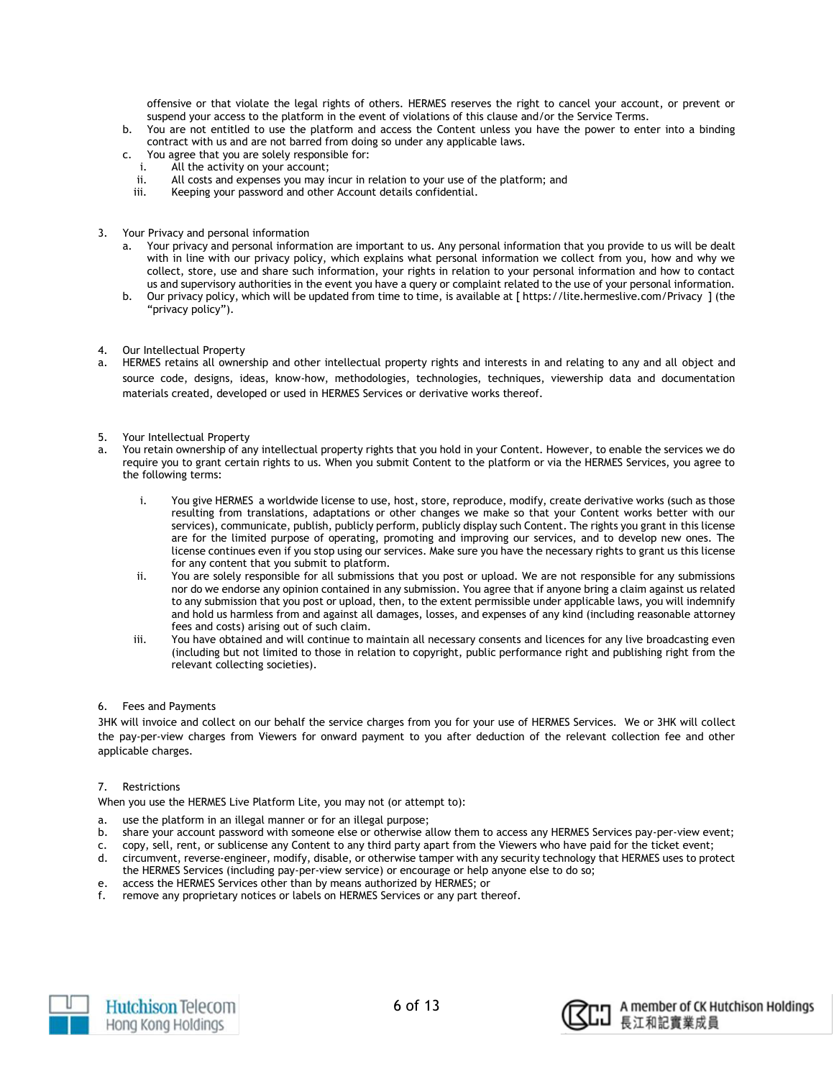offensive or that violate the legal rights of others. HERMES reserves the right to cancel your account, or prevent or suspend your access to the platform in the event of violations of this clause and/or the Service Terms.

- b. You are not entitled to use the platform and access the Content unless you have the power to enter into a binding contract with us and are not barred from doing so under any applicable laws.
- c. You agree that you are solely responsible for:
- i. All the activity on your account;
- ii. All costs and expenses you may incur in relation to your use of the platform; and
- iii. Keeping your password and other Account details confidential.
- 3. Your Privacy and personal information
	- a. Your privacy and personal information are important to us. Any personal information that you provide to us will be dealt with in line with our privacy policy, which explains what personal information we collect from you, how and why we collect, store, use and share such information, your rights in relation to your personal information and how to contact us and supervisory authorities in the event you have a query or complaint related to the use of your personal information.
	- b. Our privacy policy, which will be updated from time to time, is available at [ https://lite.hermeslive.com/Privacy ] (the "privacy policy").
- 4. Our Intellectual Property
- a. HERMES retains all ownership and other intellectual property rights and interests in and relating to any and all object and source code, designs, ideas, know-how, methodologies, technologies, techniques, viewership data and documentation materials created, developed or used in HERMES Services or derivative works thereof.
- 5. Your Intellectual Property
- a. You retain ownership of any intellectual property rights that you hold in your Content. However, to enable the services we do require you to grant certain rights to us. When you submit Content to the platform or via the HERMES Services, you agree to the following terms:
	- i. You give HERMES a worldwide license to use, host, store, reproduce, modify, create derivative works (such as those resulting from translations, adaptations or other changes we make so that your Content works better with our services), communicate, publish, publicly perform, publicly display such Content. The rights you grant in this license are for the limited purpose of operating, promoting and improving our services, and to develop new ones. The license continues even if you stop using our services. Make sure you have the necessary rights to grant us this license for any content that you submit to platform.
	- ii. You are solely responsible for all submissions that you post or upload. We are not responsible for any submissions nor do we endorse any opinion contained in any submission. You agree that if anyone bring a claim against us related to any submission that you post or upload, then, to the extent permissible under applicable laws, you will indemnify and hold us harmless from and against all damages, losses, and expenses of any kind (including reasonable attorney fees and costs) arising out of such claim.
	- iii. You have obtained and will continue to maintain all necessary consents and licences for any live broadcasting even (including but not limited to those in relation to copyright, public performance right and publishing right from the relevant collecting societies).
- 6. Fees and Payments

3HK will invoice and collect on our behalf the service charges from you for your use of HERMES Services. We or 3HK will collect the pay-per-view charges from Viewers for onward payment to you after deduction of the relevant collection fee and other applicable charges.

7. Restrictions

When you use the HERMES Live Platform Lite, you may not (or attempt to):

- a. use the platform in an illegal manner or for an illegal purpose;
- b. share your account password with someone else or otherwise allow them to access any HERMES Services pay-per-view event;
- c. copy, sell, rent, or sublicense any Content to any third party apart from the Viewers who have paid for the ticket event;
- d. circumvent, reverse-engineer, modify, disable, or otherwise tamper with any security technology that HERMES uses to protect the HERMES Services (including pay-per-view service) or encourage or help anyone else to do so;
- e. access the HERMES Services other than by means authorized by HERMES; or
- f. remove any proprietary notices or labels on HERMES Services or any part thereof.



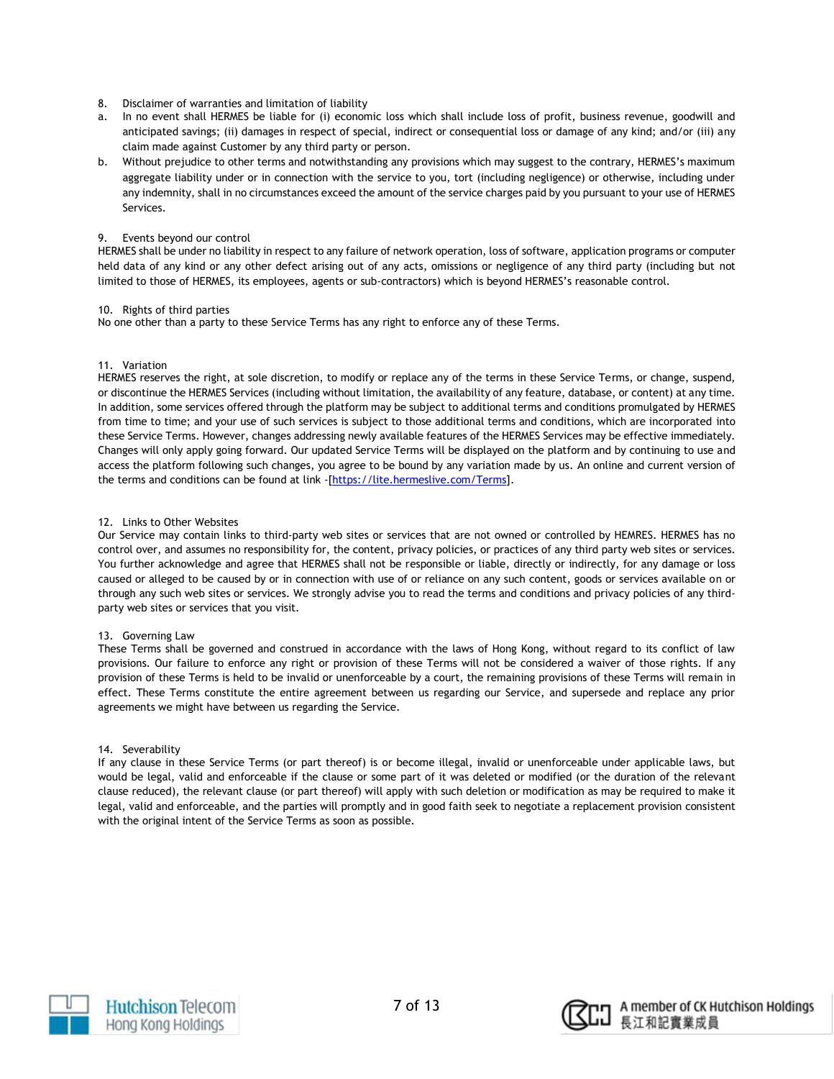- 8. Disclaimer of warranties and limitation of liability
- a. In no event shall HERMES be liable for (i) economic loss which shall include loss of profit, business revenue, goodwill and anticipated savings; (ii) damages in respect of special, indirect or consequential loss or damage of any kind; and/or (iii) any claim made against Customer by any third party or person.
- b. Without prejudice to other terms and notwithstanding any provisions which may suggest to the contrary, HERMES's maximum aggregate liability under or in connection with the service to you, tort (including negligence) or otherwise, including under any indemnity, shall in no circumstances exceed the amount of the service charges paid by you pursuant to your use of HERMES Services.

# 9. Events beyond our control

HERMES shall be under no liability in respect to any failure of network operation, loss of software, application programs or computer held data of any kind or any other defect arising out of any acts, omissions or negligence of any third party (including but not limited to those of HERMES, its employees, agents or sub-contractors) which is beyond HERMES's reasonable control.

#### 10. Rights of third parties

No one other than a party to these Service Terms has any right to enforce any of these Terms.

# 11. Variation

HERMES reserves the right, at sole discretion, to modify or replace any of the terms in these Service Terms, or change, suspend, or discontinue the HERMES Services (including without limitation, the availability of any feature, database, or content) at any time. In addition, some services offered through the platform may be subject to additional terms and conditions promulgated by HERMES from time to time; and your use of such services is subject to those additional terms and conditions, which are incorporated into these Service Terms. However, changes addressing newly available features of the HERMES Services may be effective immediately. Changes will only apply going forward. Our updated Service Terms will be displayed on the platform and by continuing to use and access the platform following such changes, you agree to be bound by any variation made by us. An online and current version of the terms and conditions can be found at link -[\[https://lite.hermeslive.com/Terms\]](https://lite.hermeslive.com/Terms).

# 12. Links to Other Websites

Our Service may contain links to third-party web sites or services that are not owned or controlled by HEMRES. HERMES has no control over, and assumes no responsibility for, the content, privacy policies, or practices of any third party web sites or services. You further acknowledge and agree that HERMES shall not be responsible or liable, directly or indirectly, for any damage or loss caused or alleged to be caused by or in connection with use of or reliance on any such content, goods or services available on or through any such web sites or services. We strongly advise you to read the terms and conditions and privacy policies of any thirdparty web sites or services that you visit.

# 13. Governing Law

These Terms shall be governed and construed in accordance with the laws of Hong Kong, without regard to its conflict of law provisions. Our failure to enforce any right or provision of these Terms will not be considered a waiver of those rights. If any provision of these Terms is held to be invalid or unenforceable by a court, the remaining provisions of these Terms will remain in effect. These Terms constitute the entire agreement between us regarding our Service, and supersede and replace any prior agreements we might have between us regarding the Service.

#### 14. Severability

If any clause in these Service Terms (or part thereof) is or become illegal, invalid or unenforceable under applicable laws, but would be legal, valid and enforceable if the clause or some part of it was deleted or modified (or the duration of the relevant clause reduced), the relevant clause (or part thereof) will apply with such deletion or modification as may be required to make it legal, valid and enforceable, and the parties will promptly and in good faith seek to negotiate a replacement provision consistent with the original intent of the Service Terms as soon as possible.



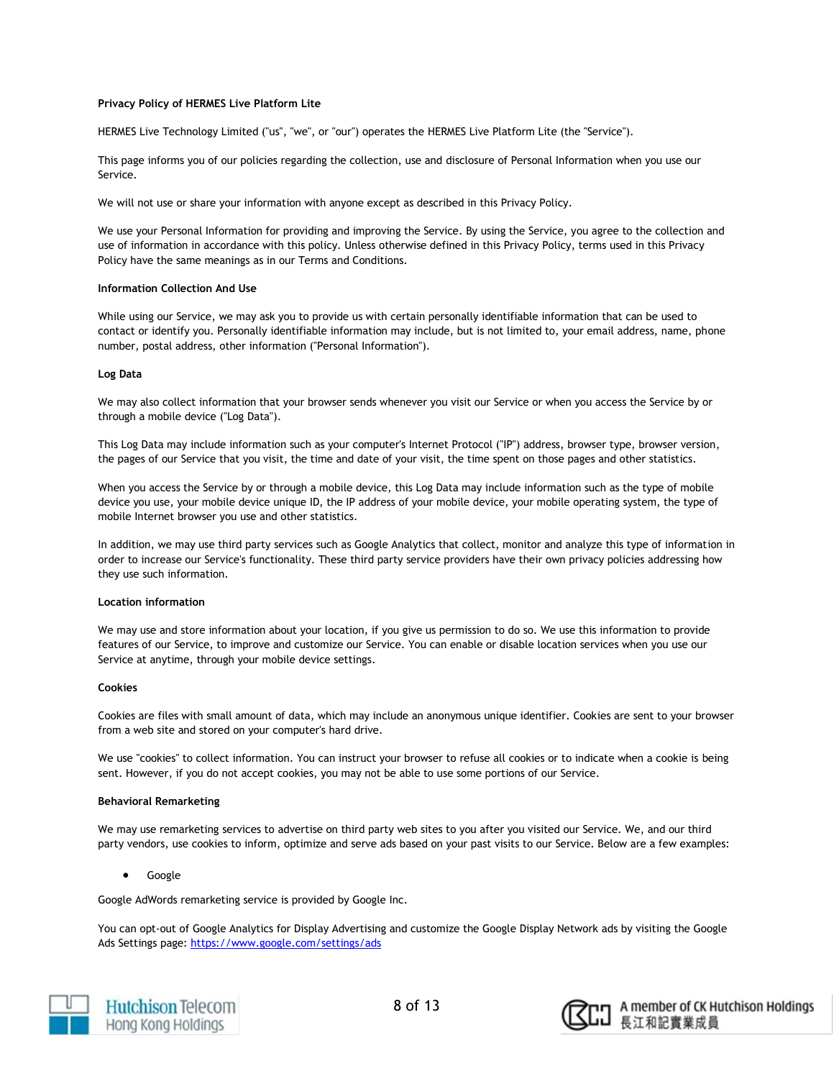#### **Privacy Policy of HERMES Live Platform Lite**

HERMES Live Technology Limited ("us", "we", or "our") operates the HERMES Live Platform Lite (the "Service").

This page informs you of our policies regarding the collection, use and disclosure of Personal Information when you use our Service.

We will not use or share your information with anyone except as described in this Privacy Policy.

We use your Personal Information for providing and improving the Service. By using the Service, you agree to the collection and use of information in accordance with this policy. Unless otherwise defined in this Privacy Policy, terms used in this Privacy Policy have the same meanings as in our Terms and Conditions.

#### **Information Collection And Use**

While using our Service, we may ask you to provide us with certain personally identifiable information that can be used to contact or identify you. Personally identifiable information may include, but is not limited to, your email address, name, phone number, postal address, other information ("Personal Information").

#### **Log Data**

We may also collect information that your browser sends whenever you visit our Service or when you access the Service by or through a mobile device ("Log Data").

This Log Data may include information such as your computer's Internet Protocol ("IP") address, browser type, browser version, the pages of our Service that you visit, the time and date of your visit, the time spent on those pages and other statistics.

When you access the Service by or through a mobile device, this Log Data may include information such as the type of mobile device you use, your mobile device unique ID, the IP address of your mobile device, your mobile operating system, the type of mobile Internet browser you use and other statistics.

In addition, we may use third party services such as Google Analytics that collect, monitor and analyze this type of information in order to increase our Service's functionality. These third party service providers have their own privacy policies addressing how they use such information.

#### **Location information**

We may use and store information about your location, if you give us permission to do so. We use this information to provide features of our Service, to improve and customize our Service. You can enable or disable location services when you use our Service at anytime, through your mobile device settings.

#### **Cookies**

Cookies are files with small amount of data, which may include an anonymous unique identifier. Cookies are sent to your browser from a web site and stored on your computer's hard drive.

We use "cookies" to collect information. You can instruct your browser to refuse all cookies or to indicate when a cookie is being sent. However, if you do not accept cookies, you may not be able to use some portions of our Service.

#### **Behavioral Remarketing**

We may use remarketing services to advertise on third party web sites to you after you visited our Service. We, and our third party vendors, use cookies to inform, optimize and serve ads based on your past visits to our Service. Below are a few examples:

Google

Google AdWords remarketing service is provided by Google Inc.

You can opt-out of Google Analytics for Display Advertising and customize the Google Display Network ads by visiting the Google Ads Settings page: <https://www.google.com/settings/ads>



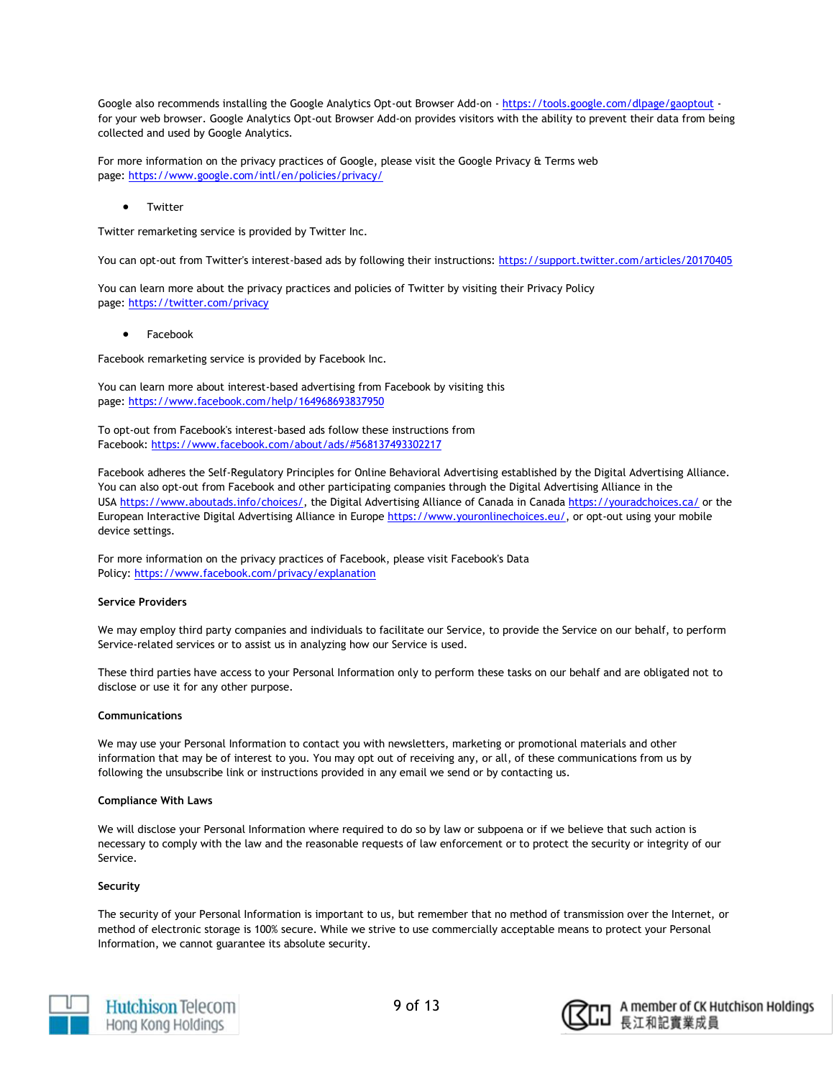Google also recommends installing the Google Analytics Opt-out Browser Add-on - <https://tools.google.com/dlpage/gaoptout> for your web browser. Google Analytics Opt-out Browser Add-on provides visitors with the ability to prevent their data from being collected and used by Google Analytics.

For more information on the privacy practices of Google, please visit the Google Privacy & Terms web page: <https://www.google.com/intl/en/policies/privacy/>

**•** Twitter

Twitter remarketing service is provided by Twitter Inc.

You can opt-out from Twitter's interest-based ads by following their instructions: <https://support.twitter.com/articles/20170405>

You can learn more about the privacy practices and policies of Twitter by visiting their Privacy Policy page: <https://twitter.com/privacy>

# Facebook

Facebook remarketing service is provided by Facebook Inc.

You can learn more about interest-based advertising from Facebook by visiting this page: <https://www.facebook.com/help/164968693837950>

To opt-out from Facebook's interest-based ads follow these instructions from Facebook: <https://www.facebook.com/about/ads/#568137493302217>

Facebook adheres the Self-Regulatory Principles for Online Behavioral Advertising established by the Digital Advertising Alliance. You can also opt-out from Facebook and other participating companies through the Digital Advertising Alliance in the USA [https://www.aboutads.info/choices/,](https://www.aboutads.info/choices/) the Digital Advertising Alliance of Canada in Canada <https://youradchoices.ca/> or the European Interactive Digital Advertising Alliance in Europe [https://www.youronlinechoices.eu/,](https://www.youronlinechoices.eu/) or opt-out using your mobile device settings.

For more information on the privacy practices of Facebook, please visit Facebook's Data Policy: <https://www.facebook.com/privacy/explanation>

#### **Service Providers**

We may employ third party companies and individuals to facilitate our Service, to provide the Service on our behalf, to perform Service-related services or to assist us in analyzing how our Service is used.

These third parties have access to your Personal Information only to perform these tasks on our behalf and are obligated not to disclose or use it for any other purpose.

#### **Communications**

We may use your Personal Information to contact you with newsletters, marketing or promotional materials and other information that may be of interest to you. You may opt out of receiving any, or all, of these communications from us by following the unsubscribe link or instructions provided in any email we send or by contacting us.

#### **Compliance With Laws**

We will disclose your Personal Information where required to do so by law or subpoena or if we believe that such action is necessary to comply with the law and the reasonable requests of law enforcement or to protect the security or integrity of our Service.

# **Security**

The security of your Personal Information is important to us, but remember that no method of transmission over the Internet, or method of electronic storage is 100% secure. While we strive to use commercially acceptable means to protect your Personal Information, we cannot guarantee its absolute security.



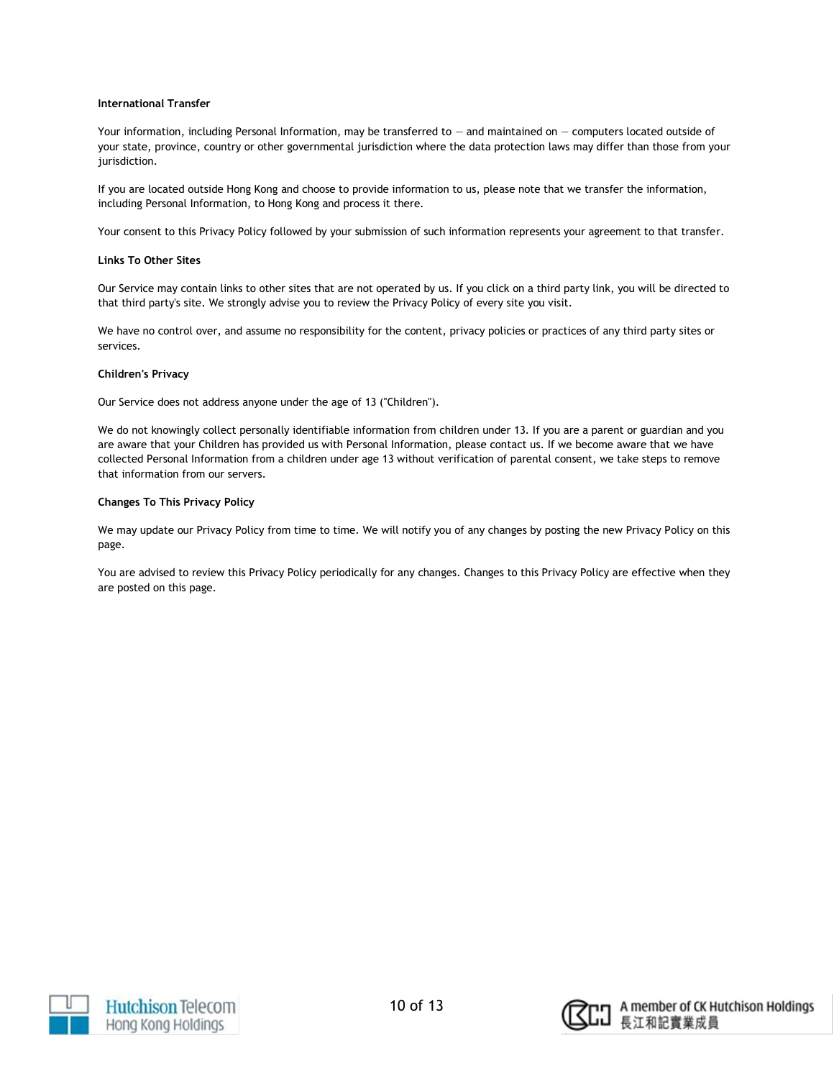#### **International Transfer**

Your information, including Personal Information, may be transferred to — and maintained on — computers located outside of your state, province, country or other governmental jurisdiction where the data protection laws may differ than those from your jurisdiction.

If you are located outside Hong Kong and choose to provide information to us, please note that we transfer the information, including Personal Information, to Hong Kong and process it there.

Your consent to this Privacy Policy followed by your submission of such information represents your agreement to that transfer.

#### **Links To Other Sites**

Our Service may contain links to other sites that are not operated by us. If you click on a third party link, you will be directed to that third party's site. We strongly advise you to review the Privacy Policy of every site you visit.

We have no control over, and assume no responsibility for the content, privacy policies or practices of any third party sites or services.

#### **Children's Privacy**

Our Service does not address anyone under the age of 13 ("Children").

We do not knowingly collect personally identifiable information from children under 13. If you are a parent or guardian and you are aware that your Children has provided us with Personal Information, please contact us. If we become aware that we have collected Personal Information from a children under age 13 without verification of parental consent, we take steps to remove that information from our servers.

# **Changes To This Privacy Policy**

We may update our Privacy Policy from time to time. We will notify you of any changes by posting the new Privacy Policy on this page.

You are advised to review this Privacy Policy periodically for any changes. Changes to this Privacy Policy are effective when they are posted on this page.





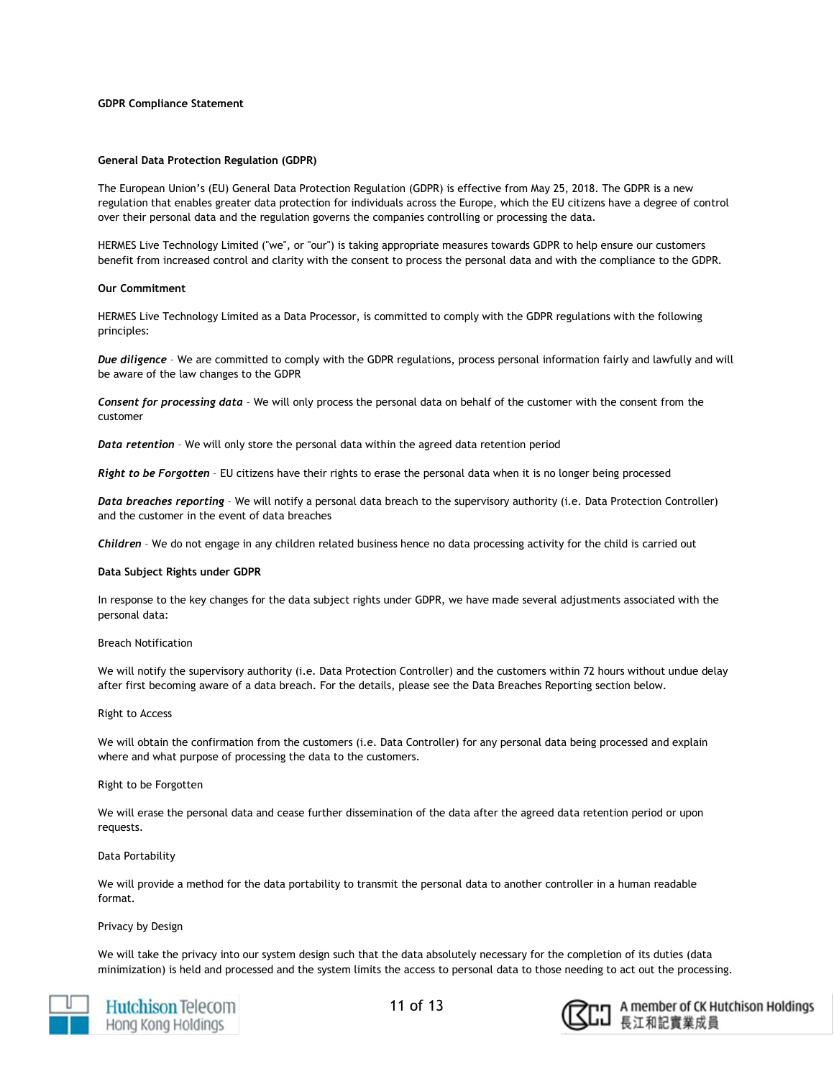#### **GDPR Compliance Statement**

#### **General Data Protection Regulation (GDPR)**

The European Union's (EU) General Data Protection Regulation (GDPR) is effective from May 25, 2018. The GDPR is a new regulation that enables greater data protection for individuals across the Europe, which the EU citizens have a degree of control over their personal data and the regulation governs the companies controlling or processing the data.

HERMES Live Technology Limited ("we", or "our") is taking appropriate measures towards GDPR to help ensure our customers benefit from increased control and clarity with the consent to process the personal data and with the compliance to the GDPR.

#### **Our Commitment**

HERMES Live Technology Limited as a Data Processor, is committed to comply with the GDPR regulations with the following principles:

*Due diligence* – We are committed to comply with the GDPR regulations, process personal information fairly and lawfully and will be aware of the law changes to the GDPR

*Consent for processing data* – We will only process the personal data on behalf of the customer with the consent from the customer

*Data retention* – We will only store the personal data within the agreed data retention period

*Right to be Forgotten* – EU citizens have their rights to erase the personal data when it is no longer being processed

*Data breaches reporting* – We will notify a personal data breach to the supervisory authority (i.e. Data Protection Controller) and the customer in the event of data breaches

*Children* – We do not engage in any children related business hence no data processing activity for the child is carried out

#### **Data Subject Rights under GDPR**

In response to the key changes for the data subject rights under GDPR, we have made several adjustments associated with the personal data:

#### Breach Notification

We will notify the supervisory authority (i.e. Data Protection Controller) and the customers within 72 hours without undue delay after first becoming aware of a data breach. For the details, please see the Data Breaches Reporting section below.

#### Right to Access

We will obtain the confirmation from the customers (i.e. Data Controller) for any personal data being processed and explain where and what purpose of processing the data to the customers.

#### Right to be Forgotten

We will erase the personal data and cease further dissemination of the data after the agreed data retention period or upon requests.

#### Data Portability

We will provide a method for the data portability to transmit the personal data to another controller in a human readable format.

#### Privacy by Design

We will take the privacy into our system design such that the data absolutely necessary for the completion of its duties (data minimization) is held and processed and the system limits the access to personal data to those needing to act out the processing.



**Hutchison Telecom** Hong Kong Holdings

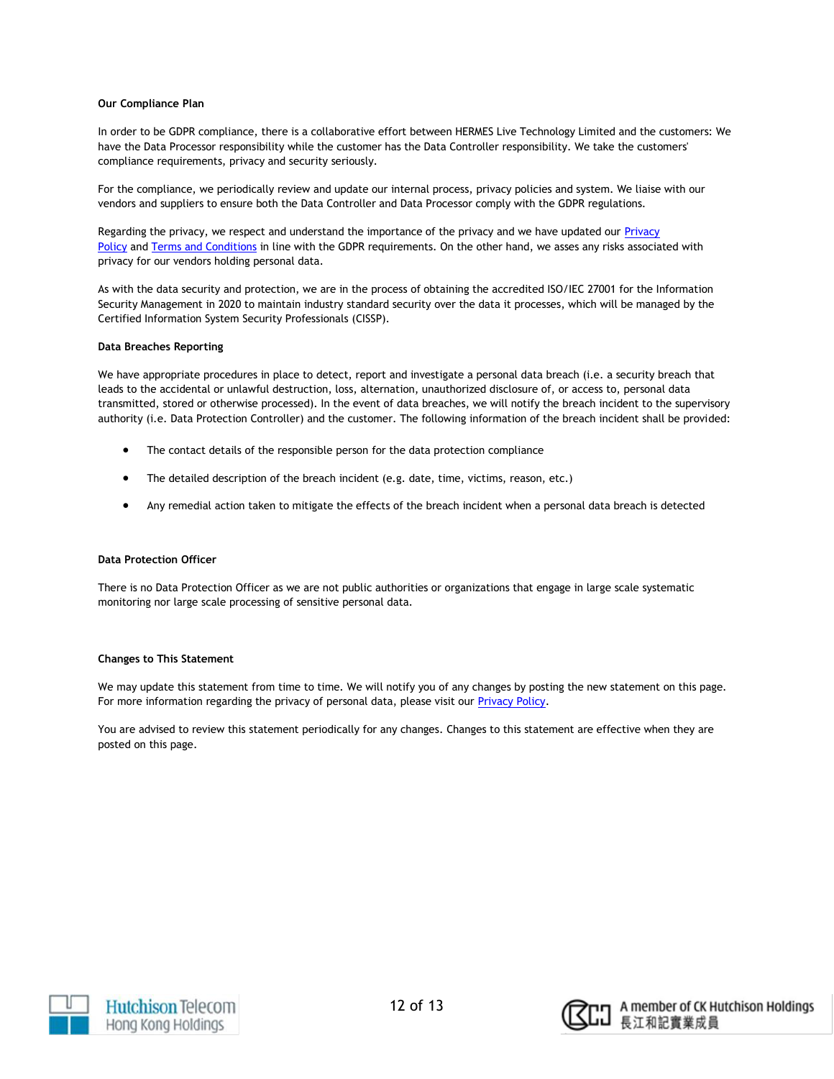#### **Our Compliance Plan**

In order to be GDPR compliance, there is a collaborative effort between HERMES Live Technology Limited and the customers: We have the Data Processor responsibility while the customer has the Data Controller responsibility. We take the customers' compliance requirements, privacy and security seriously.

For the compliance, we periodically review and update our internal process, privacy policies and system. We liaise with our vendors and suppliers to ensure both the Data Controller and Data Processor comply with the GDPR regulations.

Regarding the privacy, we respect and understand the importance of the privacy and we have updated our Privacy [Policy](https://lite.hermeslive.com/en-us/Privacy) and [Terms and Conditions](https://lite.hermeslive.com/en-us/Terms) in line with the GDPR requirements. On the other hand, we asses any risks associated with privacy for our vendors holding personal data.

As with the data security and protection, we are in the process of obtaining the accredited ISO/IEC 27001 for the Information Security Management in 2020 to maintain industry standard security over the data it processes, which will be managed by the Certified Information System Security Professionals (CISSP).

#### **Data Breaches Reporting**

We have appropriate procedures in place to detect, report and investigate a personal data breach (i.e. a security breach that leads to the accidental or unlawful destruction, loss, alternation, unauthorized disclosure of, or access to, personal data transmitted, stored or otherwise processed). In the event of data breaches, we will notify the breach incident to the supervisory authority (i.e. Data Protection Controller) and the customer. The following information of the breach incident shall be provided:

- The contact details of the responsible person for the data protection compliance
- The detailed description of the breach incident (e.g. date, time, victims, reason, etc.)
- Any remedial action taken to mitigate the effects of the breach incident when a personal data breach is detected

# **Data Protection Officer**

There is no Data Protection Officer as we are not public authorities or organizations that engage in large scale systematic monitoring nor large scale processing of sensitive personal data.

### **Changes to This Statement**

We may update this statement from time to time. We will notify you of any changes by posting the new statement on this page. For more information regarding the privacy of personal data, please visit our [Privacy Policy.](https://lite.hermeslive.com/en-us/Privacy)

You are advised to review this statement periodically for any changes. Changes to this statement are effective when they are posted on this page.